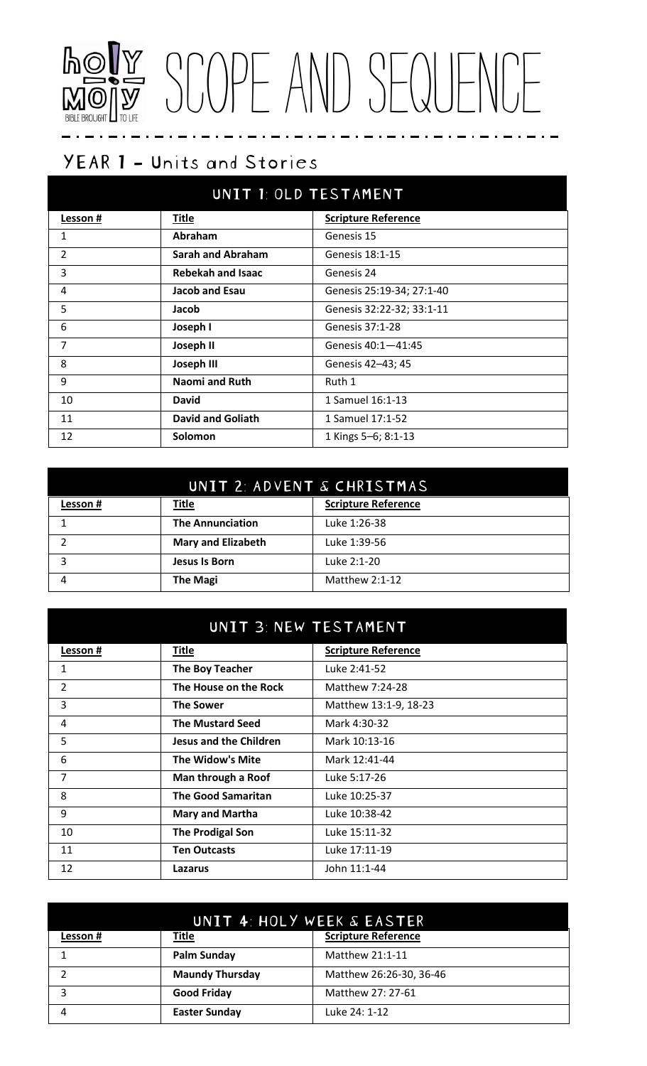## SCOPE AND SEQUENCE TO LIFE

### YEAR 1 - Units and Stories

| UNIT 1: OLD TESTAMENT |                          |                            |
|-----------------------|--------------------------|----------------------------|
| <u>Lesson #</u>       | <b>Title</b>             | <b>Scripture Reference</b> |
| 1                     | Abraham                  | Genesis 15                 |
| 2                     | <b>Sarah and Abraham</b> | Genesis 18:1-15            |
| 3                     | <b>Rebekah and Isaac</b> | Genesis 24                 |
| 4                     | Jacob and Esau           | Genesis 25:19-34; 27:1-40  |
| 5                     | Jacob                    | Genesis 32:22-32; 33:1-11  |
| 6                     | Joseph I                 | Genesis 37:1-28            |
| $\overline{7}$        | Joseph II                | Genesis 40:1-41:45         |
| 8                     | <b>Joseph III</b>        | Genesis 42-43; 45          |
| 9                     | <b>Naomi and Ruth</b>    | Ruth 1                     |
| 10                    | <b>David</b>             | 1 Samuel 16:1-13           |
| 11                    | <b>David and Goliath</b> | 1 Samuel 17:1-52           |
| 12                    | Solomon                  | 1 Kings 5-6; 8:1-13        |

| UNIT 2: ADVENT & CHRISTMAS |                           |                            |
|----------------------------|---------------------------|----------------------------|
| Lesson #                   | <b>Title</b>              | <b>Scripture Reference</b> |
|                            | <b>The Annunciation</b>   | Luke 1:26-38               |
|                            | <b>Mary and Elizabeth</b> | Luke 1:39-56               |
| っ                          | Jesus Is Born             | Luke 2:1-20                |
|                            | <b>The Magi</b>           | Matthew $2:1-12$           |

| UNIT 3: NEW TESTAMENT |                               |                            |
|-----------------------|-------------------------------|----------------------------|
| Lesson #              | <b>Title</b>                  | <b>Scripture Reference</b> |
| 1                     | The Boy Teacher               | Luke 2:41-52               |
| $\overline{2}$        | The House on the Rock         | Matthew 7:24-28            |
| 3                     | <b>The Sower</b>              | Matthew 13:1-9, 18-23      |
| 4                     | <b>The Mustard Seed</b>       | Mark 4:30-32               |
| 5                     | <b>Jesus and the Children</b> | Mark 10:13-16              |
| 6                     | The Widow's Mite              | Mark 12:41-44              |
| 7                     | Man through a Roof            | Luke 5:17-26               |
| 8                     | <b>The Good Samaritan</b>     | Luke 10:25-37              |
| 9                     | <b>Mary and Martha</b>        | Luke 10:38-42              |
| 10                    | <b>The Prodigal Son</b>       | Luke 15:11-32              |
| 11                    | <b>Ten Outcasts</b>           | Luke 17:11-19              |
| 12                    | Lazarus                       | John 11:1-44               |

| UNIT 4: HOLY WEEK & EASTER |                        |                            |
|----------------------------|------------------------|----------------------------|
| Lesson #                   | <b>Title</b>           | <b>Scripture Reference</b> |
|                            | <b>Palm Sunday</b>     | Matthew 21:1-11            |
|                            | <b>Maundy Thursday</b> | Matthew 26:26-30, 36-46    |
|                            | <b>Good Friday</b>     | Matthew 27: 27-61          |
|                            | <b>Easter Sunday</b>   | Luke 24: 1-12              |